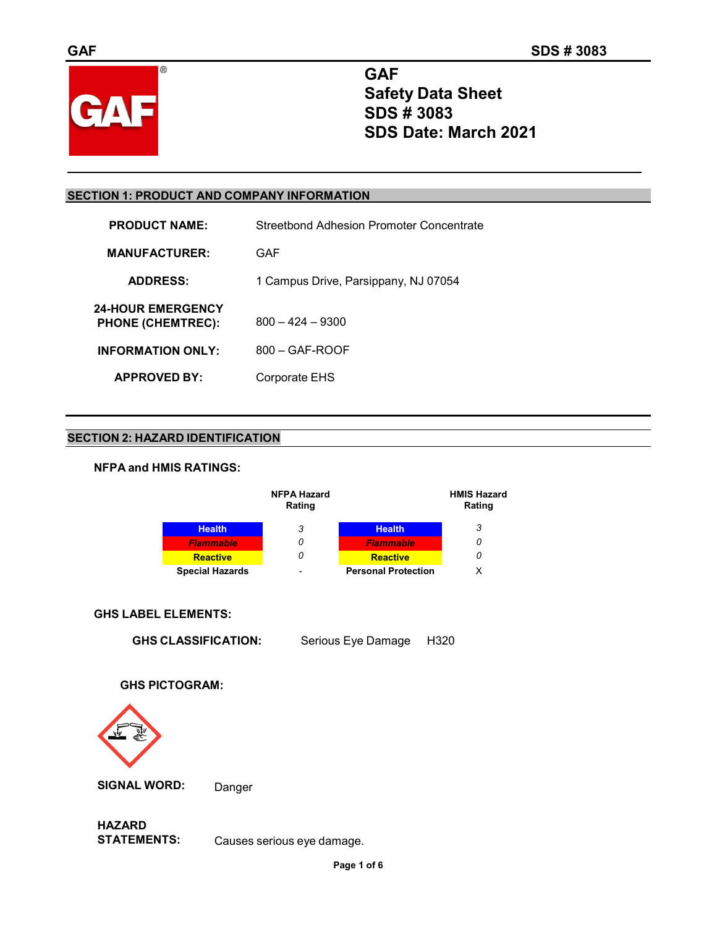

**GAF Safety Data Sheet SDS # 3083 SDS Date: March 2021**

# **SECTION 1: PRODUCT AND COMPANY INFORMATION**

| <b>PRODUCT NAME:</b>                                 | Streetbond Adhesion Promoter Concentrate |
|------------------------------------------------------|------------------------------------------|
| <b>MANUFACTURER:</b>                                 | GAF                                      |
| <b>ADDRESS:</b>                                      | 1 Campus Drive, Parsippany, NJ 07054     |
| <b>24-HOUR EMERGENCY</b><br><b>PHONE (CHEMTREC):</b> | $800 - 424 - 9300$                       |
| <b>INFORMATION ONLY:</b>                             | $800 - GAF-ROOF$                         |
| <b>APPROVED BY:</b>                                  | Corporate EHS                            |

# **SECTION 2: HAZARD IDENTIFICATION**

# **NFPA and HMIS RATINGS:**



# **GHS LABEL ELEMENTS:**

**GHS CLASSIFICATION:** Serious Eye Damage H320

# **GHS PICTOGRAM:**



**SIGNAL WORD:** Danger

**HAZARD** Causes serious eye damage.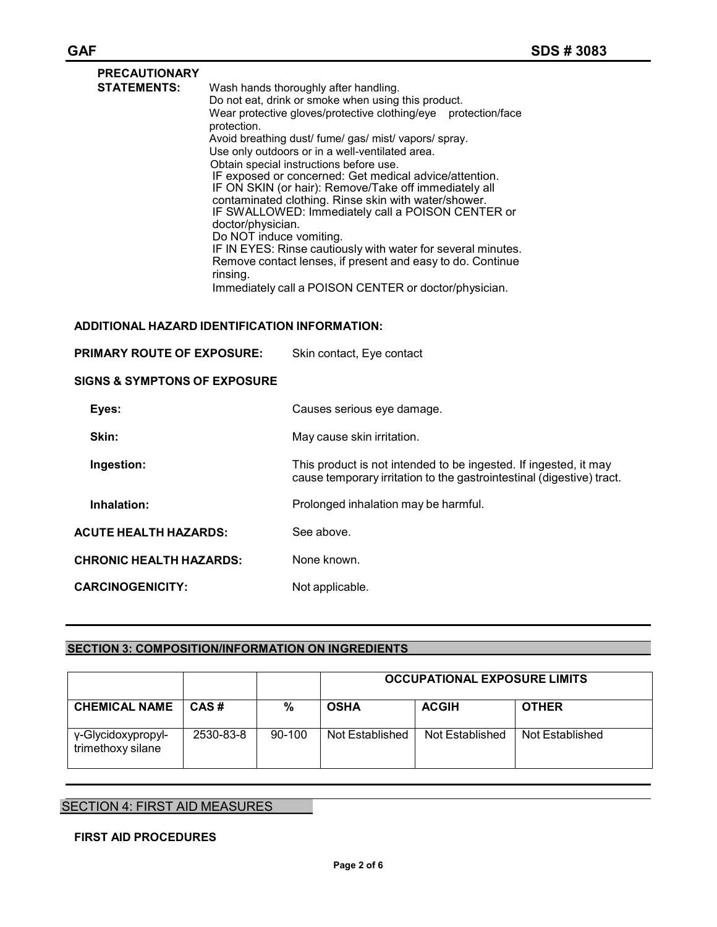| Wash hands thoroughly after handling.                                            |
|----------------------------------------------------------------------------------|
| Do not eat, drink or smoke when using this product.                              |
| Wear protective gloves/protective clothing/eye    protection/face<br>protection. |
| Avoid breathing dust/ fume/ gas/ mist/ vapors/ spray.                            |
| Use only outdoors or in a well-ventilated area.                                  |
| Obtain special instructions before use.                                          |
| IF exposed or concerned: Get medical advice/attention.                           |
| IF ON SKIN (or hair): Remove/Take off immediately all                            |
| contaminated clothing. Rinse skin with water/shower.                             |
| IF SWALLOWED: Immediately call a POISON CENTER or                                |
| doctor/physician.                                                                |
| Do NOT induce vomiting.                                                          |
| IF IN EYES: Rinse cautiously with water for several minutes.                     |
| Remove contact lenses, if present and easy to do. Continue                       |
| rinsing.                                                                         |
| Immediately call a POISON CENTER or doctor/physician.                            |
|                                                                                  |

### **ADDITIONAL HAZARD IDENTIFICATION INFORMATION:**

| <b>PRIMARY ROUTE OF EXPOSURE:</b>       | Skin contact, Eye contact                                                                                                                 |  |
|-----------------------------------------|-------------------------------------------------------------------------------------------------------------------------------------------|--|
| <b>SIGNS &amp; SYMPTONS OF EXPOSURE</b> |                                                                                                                                           |  |
| Eyes:                                   | Causes serious eye damage.                                                                                                                |  |
| Skin:                                   | May cause skin irritation.                                                                                                                |  |
| Ingestion:                              | This product is not intended to be ingested. If ingested, it may<br>cause temporary irritation to the gastrointestinal (digestive) tract. |  |
| Inhalation:                             | Prolonged inhalation may be harmful.                                                                                                      |  |
| <b>ACUTE HEALTH HAZARDS:</b>            | See above.                                                                                                                                |  |
| <b>CHRONIC HEALTH HAZARDS:</b>          | None known.                                                                                                                               |  |
| <b>CARCINOGENICITY:</b>                 | Not applicable.                                                                                                                           |  |

# **SECTION 3: COMPOSITION/INFORMATION ON INGREDIENTS**

|                                         |           |          | <b>OCCUPATIONAL EXPOSURE LIMITS</b> |                 |                 |
|-----------------------------------------|-----------|----------|-------------------------------------|-----------------|-----------------|
| <b>CHEMICAL NAME</b>                    | CAS#      | %        | <b>OSHA</b>                         | <b>ACGIH</b>    | <b>OTHER</b>    |
| γ-Glycidoxypropyl-<br>trimethoxy silane | 2530-83-8 | $90-100$ | Not Established                     | Not Established | Not Established |

# SECTION 4: FIRST AID MEASURES

# **FIRST AID PROCEDURES**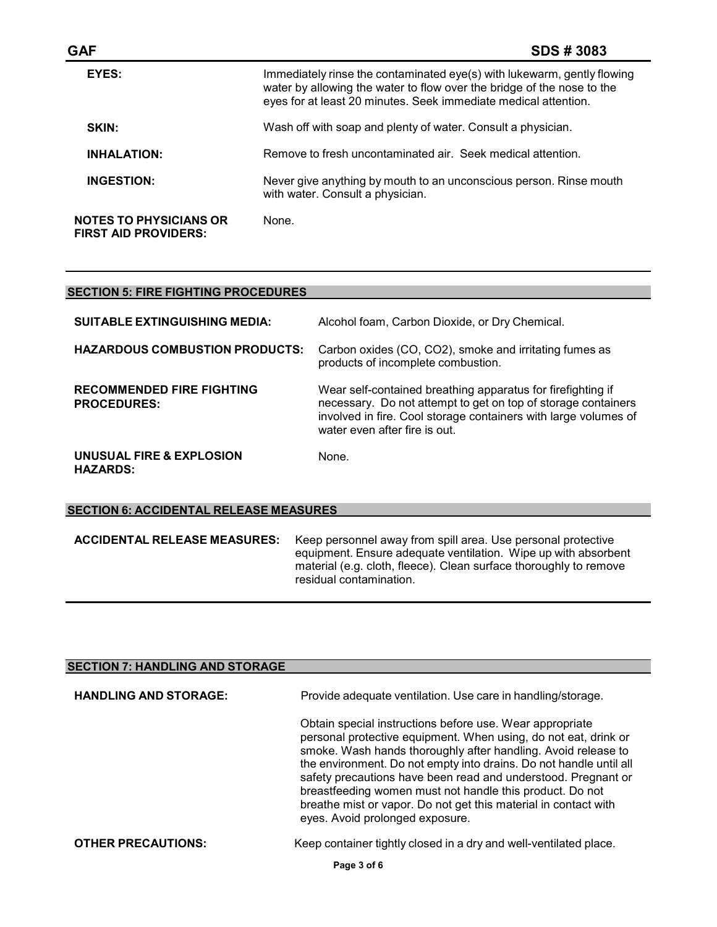| <b>GAF</b>                                                   | <b>SDS#3083</b>                                                                                                                                                                                                      |
|--------------------------------------------------------------|----------------------------------------------------------------------------------------------------------------------------------------------------------------------------------------------------------------------|
| EYES:                                                        | Immediately rinse the contaminated eye(s) with lukewarm, gently flowing<br>water by allowing the water to flow over the bridge of the nose to the<br>eyes for at least 20 minutes. Seek immediate medical attention. |
| SKIN:                                                        | Wash off with soap and plenty of water. Consult a physician.                                                                                                                                                         |
| <b>INHALATION:</b>                                           | Remove to fresh uncontaminated air. Seek medical attention.                                                                                                                                                          |
| <b>INGESTION:</b>                                            | Never give anything by mouth to an unconscious person. Rinse mouth<br>with water. Consult a physician.                                                                                                               |
| <b>NOTES TO PHYSICIANS OR</b><br><b>FIRST AID PROVIDERS:</b> | None.                                                                                                                                                                                                                |

# **SECTION 5: FIRE FIGHTING PROCEDURES**

| <b>SUITABLE EXTINGUISHING MEDIA:</b>                   | Alcohol foam, Carbon Dioxide, or Dry Chemical.                                                                                                                                                                                   |
|--------------------------------------------------------|----------------------------------------------------------------------------------------------------------------------------------------------------------------------------------------------------------------------------------|
| <b>HAZARDOUS COMBUSTION PRODUCTS:</b>                  | Carbon oxides (CO, CO2), smoke and irritating fumes as<br>products of incomplete combustion.                                                                                                                                     |
| <b>RECOMMENDED FIRE FIGHTING</b><br><b>PROCEDURES:</b> | Wear self-contained breathing apparatus for firefighting if<br>necessary. Do not attempt to get on top of storage containers<br>involved in fire. Cool storage containers with large volumes of<br>water even after fire is out. |
| UNUSUAL FIRE & EXPLOSION<br><b>HAZARDS:</b>            | None.                                                                                                                                                                                                                            |

#### **SECTION 6: ACCIDENTAL RELEASE MEASURES**

**ACCIDENTAL RELEASE MEASURES:** Keep personnel away from spill area. Use personal protective equipment. Ensure adequate ventilation. Wipe up with absorbent material (e.g. cloth, fleece). Clean surface thoroughly to remove residual contamination.

| <b>SECTION 7: HANDLING AND STORAGE</b> |                                                                                                                                                                                                                                                                                                                                                                                                                                                                                                       |
|----------------------------------------|-------------------------------------------------------------------------------------------------------------------------------------------------------------------------------------------------------------------------------------------------------------------------------------------------------------------------------------------------------------------------------------------------------------------------------------------------------------------------------------------------------|
| <b>HANDLING AND STORAGE:</b>           | Provide adequate ventilation. Use care in handling/storage.                                                                                                                                                                                                                                                                                                                                                                                                                                           |
|                                        | Obtain special instructions before use. Wear appropriate<br>personal protective equipment. When using, do not eat, drink or<br>smoke. Wash hands thoroughly after handling. Avoid release to<br>the environment. Do not empty into drains. Do not handle until all<br>safety precautions have been read and understood. Pregnant or<br>breastfeeding women must not handle this product. Do not<br>breathe mist or vapor. Do not get this material in contact with<br>eyes. Avoid prolonged exposure. |
| <b>OTHER PRECAUTIONS:</b>              | Keep container tightly closed in a dry and well-ventilated place.                                                                                                                                                                                                                                                                                                                                                                                                                                     |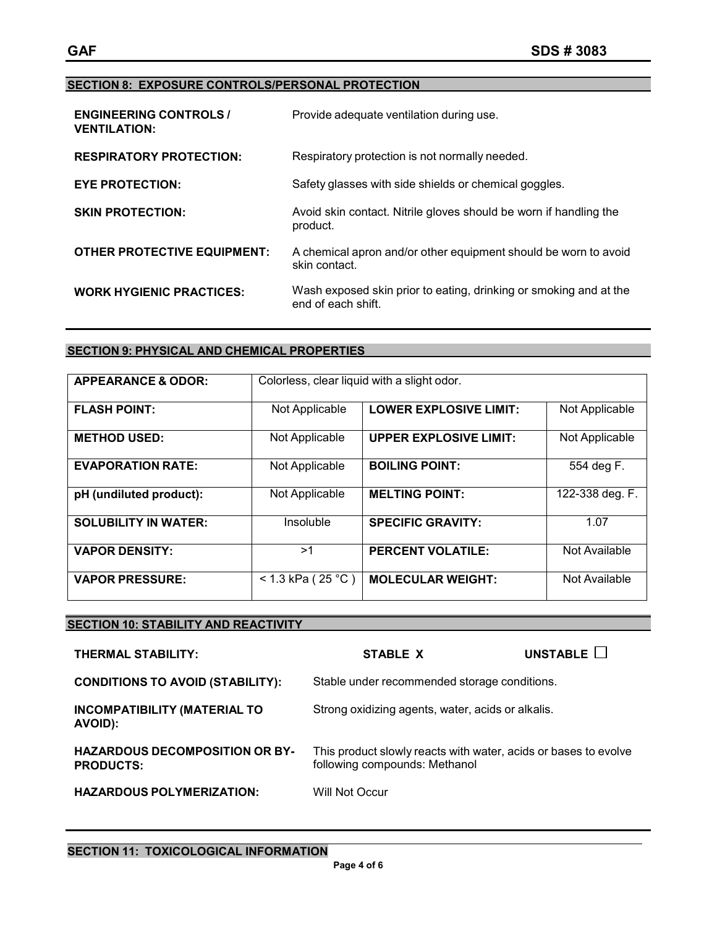#### **SECTION 8: EXPOSURE CONTROLS/PERSONAL PROTECTION**

| <b>ENGINEERING CONTROLS /</b><br><b>VENTILATION:</b> | Provide adequate ventilation during use.                                               |
|------------------------------------------------------|----------------------------------------------------------------------------------------|
| <b>RESPIRATORY PROTECTION:</b>                       | Respiratory protection is not normally needed.                                         |
| <b>EYE PROTECTION:</b>                               | Safety glasses with side shields or chemical goggles.                                  |
| <b>SKIN PROTECTION:</b>                              | Avoid skin contact. Nitrile gloves should be worn if handling the<br>product.          |
| <b>OTHER PROTECTIVE EQUIPMENT:</b>                   | A chemical apron and/or other equipment should be worn to avoid<br>skin contact.       |
| <b>WORK HYGIENIC PRACTICES:</b>                      | Wash exposed skin prior to eating, drinking or smoking and at the<br>end of each shift |

# **SECTION 9: PHYSICAL AND CHEMICAL PROPERTIES**

| <b>APPEARANCE &amp; ODOR:</b> | Colorless, clear liquid with a slight odor. |                               |                 |
|-------------------------------|---------------------------------------------|-------------------------------|-----------------|
| <b>FLASH POINT:</b>           | Not Applicable                              | <b>LOWER EXPLOSIVE LIMIT:</b> | Not Applicable  |
| <b>METHOD USED:</b>           | Not Applicable                              | <b>UPPER EXPLOSIVE LIMIT:</b> | Not Applicable  |
| <b>EVAPORATION RATE:</b>      | Not Applicable                              | <b>BOILING POINT:</b>         | 554 deg F.      |
| pH (undiluted product):       | Not Applicable                              | <b>MELTING POINT:</b>         | 122-338 deg. F. |
| <b>SOLUBILITY IN WATER:</b>   | Insoluble                                   | <b>SPECIFIC GRAVITY:</b>      | 1.07            |
| <b>VAPOR DENSITY:</b>         | >1                                          | <b>PERCENT VOLATILE:</b>      | Not Available   |
| <b>VAPOR PRESSURE:</b>        | < 1.3 kPa ( $25 °C$ )                       | <b>MOLECULAR WEIGHT:</b>      | Not Available   |

# **SECTION 10: STABILITY AND REACTIVITY THERMAL STABILITY: STABLE X UNSTABLE CONDITIONS TO AVOID (STABILITY):** Stable under recommended storage conditions. **INCOMPATIBILITY (MATERIAL TO AVOID):** Strong oxidizing agents, water, acids or alkalis. **HAZARDOUS DECOMPOSITION OR BY-PRODUCTS:** This product slowly reacts with water, acids or bases to evolve following compounds: Methanol **HAZARDOUS POLYMERIZATION:** Will Not Occur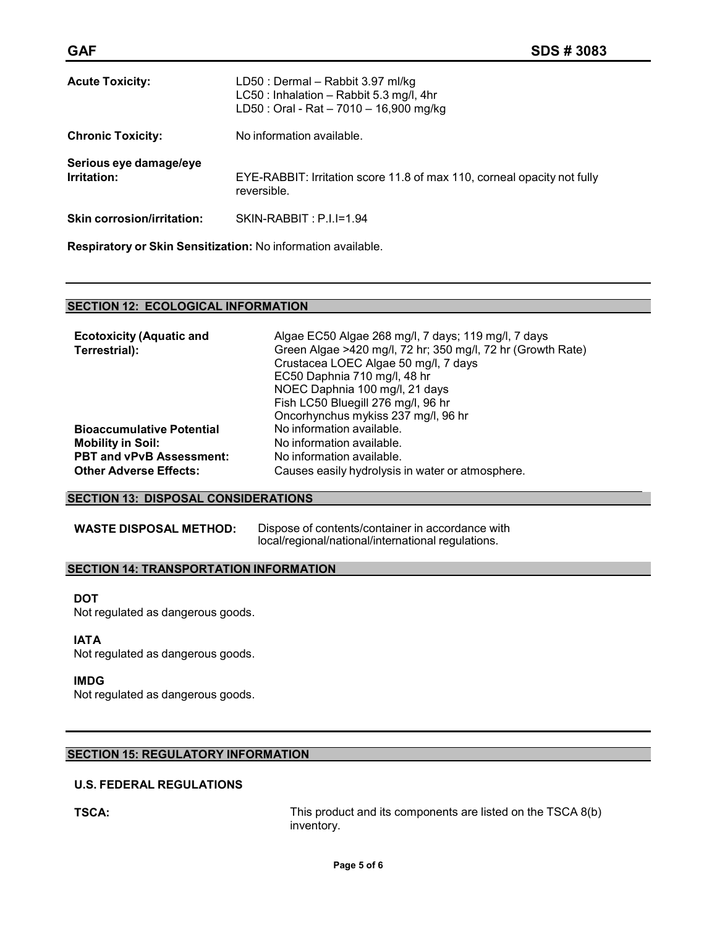| <b>GAF</b>                            |                                                                                                                          | <b>SDS#3083</b> |
|---------------------------------------|--------------------------------------------------------------------------------------------------------------------------|-----------------|
| <b>Acute Toxicity:</b>                | LD50 : Dermal - Rabbit 3.97 ml/kg<br>LC50 : Inhalation - Rabbit 5.3 mg/l, 4hr<br>LD50 : Oral - Rat - 7010 - 16,900 mg/kg |                 |
| <b>Chronic Toxicity:</b>              | No information available.                                                                                                |                 |
| Serious eye damage/eye<br>Irritation: | EYE-RABBIT: Irritation score 11.8 of max 110, corneal opacity not fully<br>reversible.                                   |                 |

**Skin corrosion/irritation:** SKIN-RABBIT : P.I.I=1.94

**Respiratory or Skin Sensitization:** No information available.

### **SECTION 12: ECOLOGICAL INFORMATION**

| Algae EC50 Algae 268 mg/l, 7 days; 119 mg/l, 7 days         |
|-------------------------------------------------------------|
| Green Algae >420 mg/l, 72 hr; 350 mg/l, 72 hr (Growth Rate) |
| Crustacea LOEC Algae 50 mg/l, 7 days                        |
| EC50 Daphnia 710 mg/l, 48 hr                                |
| NOEC Daphnia 100 mg/l, 21 days                              |
| Fish LC50 Bluegill 276 mg/l, 96 hr                          |
| Oncorhynchus mykiss 237 mg/l, 96 hr                         |
| No information available.                                   |
| No information available.                                   |
| No information available.                                   |
| Causes easily hydrolysis in water or atmosphere.            |
|                                                             |

### **SECTION 13: DISPOSAL CONSIDERATIONS**

**WASTE DISPOSAL METHOD:** Dispose of contents/container in accordance with local/regional/national/international regulations.

### **SECTION 14: TRANSPORTATION INFORMATION**

#### **DOT**

Not regulated as dangerous goods.

#### **IATA**

Not regulated as dangerous goods.

#### **IMDG**

Not regulated as dangerous goods.

# **SECTION 15: REGULATORY INFORMATION**

# **U.S. FEDERAL REGULATIONS**

**TSCA:** TSCA: TSCA: THIS product and its components are listed on the TSCA 8(b) inventory.